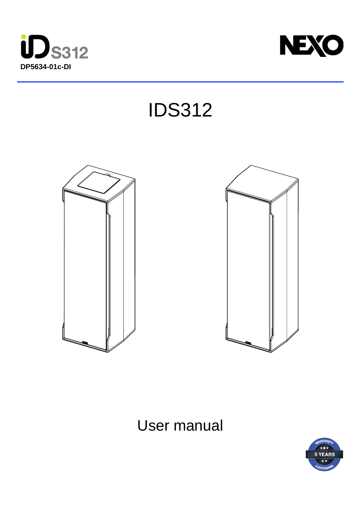



IDS312





# User manual

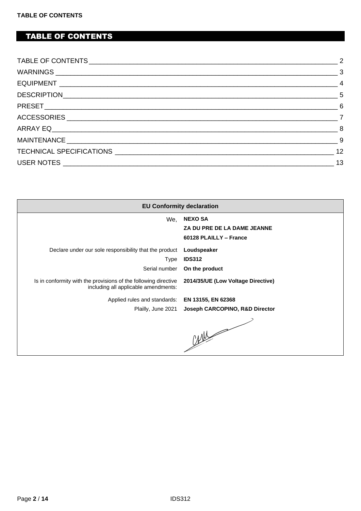# <span id="page-1-0"></span>TABLE OF CONTENTS

| $\overline{7}$ |
|----------------|
|                |
|                |
|                |
| 13             |

|                                                                                                         | <b>EU Conformity declaration</b>                                        |
|---------------------------------------------------------------------------------------------------------|-------------------------------------------------------------------------|
| We,                                                                                                     | <b>NEXO SA</b><br>ZA DU PRE DE LA DAME JEANNE<br>60128 PLAILLY - France |
| Declare under our sole responsibility that the product Loudspeaker<br>Type<br>Serial number             | <b>IDS312</b><br>On the product                                         |
| Is in conformity with the provisions of the following directive<br>including all applicable amendments: | 2014/35/UE (Low Voltage Directive)                                      |
| Applied rules and standards: EN 13155, EN 62368<br>Plailly, June 2021                                   | Joseph CARCOPINO, R&D Director<br>CANN                                  |
|                                                                                                         |                                                                         |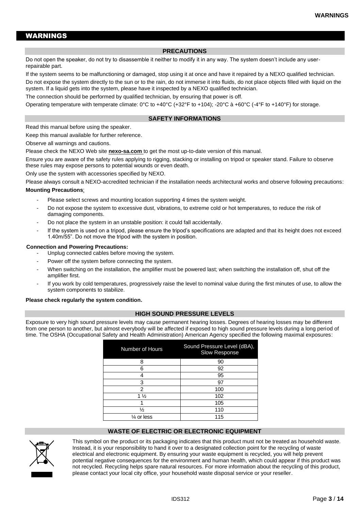## <span id="page-2-0"></span>WARNINGS

#### **PRECAUTIONS**

Do not open the speaker, do not try to disassemble it neither to modify it in any way. The system doesn't include any userrepairable part.

If the system seems to be malfunctioning or damaged, stop using it at once and have it repaired by a NEXO qualified technician.

Do not expose the system directly to the sun or to the rain, do not immerse it into fluids, do not place objects filled with liquid on the system. If a liquid gets into the system, please have it inspected by a NEXO qualified technician.

The connection should be performed by qualified technician, by ensuring that power is off.

Operating temperature with temperate climate: 0°C to +40°C (+32°F to +104); -20°C à +60°C (-4°F to +140°F) for storage.

#### **SAFETY INFORMATIONS**

Read this manual before using the speaker.

Keep this manual available for further reference. Observe all warnings and cautions.

Please check the NEXO Web site **nexo-sa.com** to get the most up-to-date version of this manual.

Ensure you are aware of the safety rules applying to rigging, stacking or installing on tripod or speaker stand. Failure to observe these rules may expose persons to potential wounds or even death.

Only use the system with accessories specified by NEXO.

Please always consult a NEXO-accredited technician if the installation needs architectural works and observe following precautions:

#### **Mounting Precautions**:

- Please select screws and mounting location supporting 4 times the system weight.
- Do not expose the system to excessive dust, vibrations, to extreme cold or hot temperatures, to reduce the risk of damaging components.
- Do not place the system in an unstable position: it could fall accidentally.
- If the system is used on a tripod, please ensure the tripod's specifications are adapted and that its height does not exceed 1.40m/55". Do not move the tripod with the system in position.

#### **Connection and Powering Precautions:**

- Unplug connected cables before moving the system.
- Power off the system before connecting the system.
- When switching on the installation, the amplifier must be powered last; when switching the installation off, shut off the amplifier first.
- If you work by cold temperatures, progressively raise the level to nominal value during the first minutes of use, to allow the system components to stabilize.

#### **Please check regularly the system condition.**

#### **HIGH SOUND PRESSURE LEVELS**

Exposure to very high sound pressure levels may cause permanent hearing losses. Degrees of hearing losses may be different from one person to another, but almost everybody will be affected if exposed to high sound pressure levels during a long period of time. The OSHA (Occupational Safety and Health Administration) American Agency specified the following maximal exposures:

| Number of Hours       | Sound Pressure Level (dBA),<br>Slow Response |
|-----------------------|----------------------------------------------|
| 8                     | 90                                           |
| 6                     | 92                                           |
|                       | 95                                           |
| 3                     | 97                                           |
| 2                     | 100                                          |
| $1\frac{1}{2}$        | 102                                          |
|                       | 105                                          |
| ⅓                     | 110                                          |
| $\frac{1}{4}$ or less | 115                                          |

#### **WASTE OF ELECTRIC OR ELECTRONIC EQUIPMENT**



This symbol on the product or its packaging indicates that this product must not be treated as household waste. Instead, it is your responsibility to hand it over to a designated collection point for the recycling of waste electrical and electronic equipment. By ensuring your waste equipment is recycled, you will help prevent potential negative consequences for the environment and human health, which could appear if this product was not recycled. Recycling helps spare natural resources. For more information about the recycling of this product, please contact your local city office, your household waste disposal service or your reseller.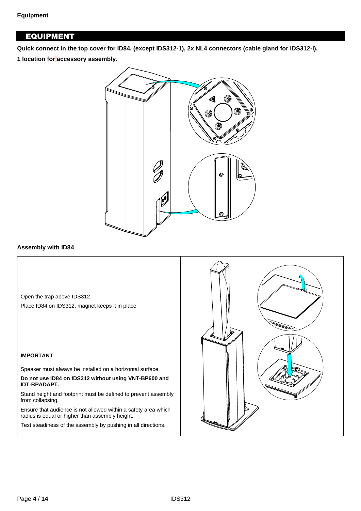# <span id="page-3-0"></span>EQUIPMENT

**Quick connect in the top cover for ID84. (except IDS312-1), 2x NL4 connectors (cable gland for IDS312-I).**

**1 location for accessory assembly.**



## **Assembly with ID84**

Open the trap above IDS312.

Place ID84 on IDS312, magnet keeps it in place

## **IMPORTANT**

Speaker must always be installed on a horizontal surface.

**Do not use ID84 on IDS312 without using VNT-BP600 and IDT-BPADAPT.**

Stand height and footprint must be defined to prevent assembly from collapsing.

Ensure that audience is not allowed within a safety area which radius is equal or higher than assembly height.

Test steadiness of the assembly by pushing in all directions.

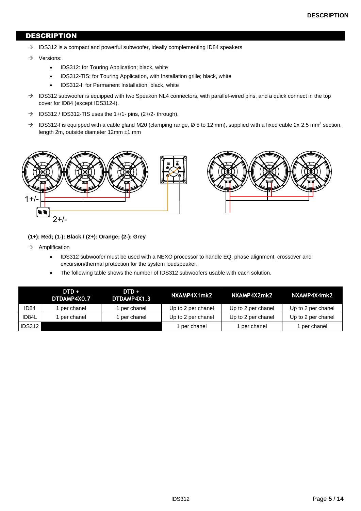## <span id="page-4-0"></span>DESCRIPTION

- $\rightarrow$  IDS312 is a compact and powerful subwoofer, ideally complementing ID84 speakers
- → Versions:
	- IDS312: for Touring Application; black, white
	- IDS312-TIS: for Touring Application, with Installation grille; black, white
	- IDS312-I: for Permanent Installation; black, white
- → IDS312 subwoofer is equipped with two Speakon NL4 connectors, with parallel-wired pins, and a quick connect in the top cover for ID84 (except IDS312-I).
- $\rightarrow$  IDS312 / IDS312-TIS uses the 1+/1- pins, (2+/2- through).
- $\rightarrow$  IDS312-I is equipped with a cable gland M20 (clamping range, Ø 5 to 12 mm), supplied with a fixed cable 2x 2.5 mm<sup>2</sup> section, length 2m, outside diameter 12mm ±1 mm



#### **(1+): Red; (1-): Black / (2+): Orange; (2-): Grey**

- $\rightarrow$  Amplification
	- IDS312 subwoofer must be used with a NEXO processor to handle EQ, phase alignment, crossover and excursion/thermal protection for the system loudspeaker.
	- The following table shows the number of IDS312 subwoofers usable with each solution.

|                  | $DTD +$<br>DTDAMP4X0.7 | $DTD +$<br>DTDAMP4X1.3 | NXAMP4X1mk2        | NXAMP4X2mk2        | NXAMP4X4mk2        |
|------------------|------------------------|------------------------|--------------------|--------------------|--------------------|
| ID <sub>84</sub> | per chanel             | per chanel             | Up to 2 per chanel | Up to 2 per chanel | Up to 2 per chanel |
| ID84L            | per chanel             | per chanel             | Up to 2 per chanel | Up to 2 per chanel | Up to 2 per chanel |
| I IDS312 I       |                        |                        | per chanel         | per chanel         | per chanel         |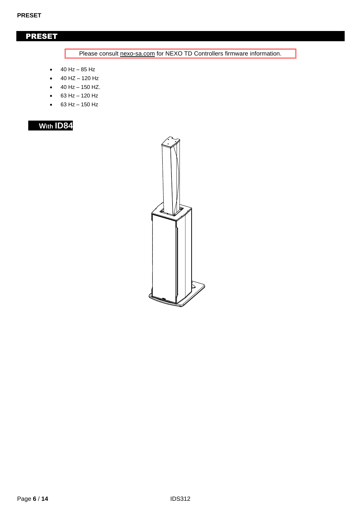# <span id="page-5-0"></span>PRESET

Please consult nexo-sa.com for NEXO TD Controllers firmware information.

- 40 Hz 85 Hz
- 40 HZ 120 Hz
- 40 Hz 150 HZ.
- 63 Hz 120 Hz
- 63 Hz 150 Hz

| 84<br>w<br>о<br>ith |  |
|---------------------|--|
|---------------------|--|

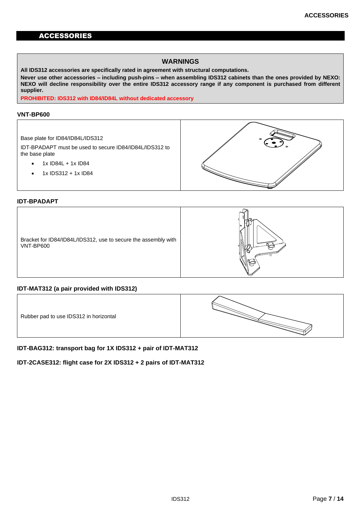## <span id="page-6-0"></span>ACCESSORIES

## **WARNINGS**

**All IDS312 accessories are specifically rated in agreement with structural computations.**

**Never use other accessories – including push-pins – when assembling IDS312 cabinets than the ones provided by NEXO: NEXO will decline responsibility over the entire IDS312 accessory range if any component is purchased from different supplier.**

**PROHIBITED: IDS312 with ID84/ID84L without dedicated accessory**

#### **VNT-BP600**

#### Base plate for ID84/ID84L/IDS312

IDT-BPADAPT must be used to secure ID84/ID84L/IDS312 to the base plate

- $\bullet$  1x ID84L + 1x ID84
- 1x IDS312 + 1x ID84



## **IDT-BPADAPT**



## **IDT-MAT312 (a pair provided with IDS312)**

Rubber pad to use IDS312 in horizontal



**IDT-BAG312: transport bag for 1X IDS312 + pair of IDT-MAT312**

**IDT-2CASE312: flight case for 2X IDS312 + 2 pairs of IDT-MAT312**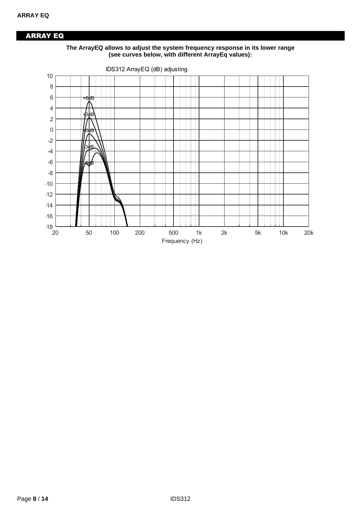# <span id="page-7-0"></span>ARRAY EQ



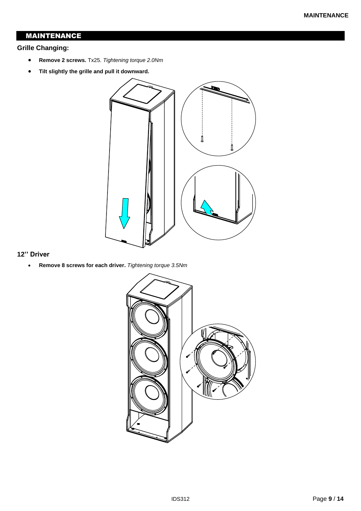# <span id="page-8-0"></span>MAINTENANCE

## **Grille Changing:**

- **Remove 2 screws.** Tx25. *Tightening torque 2.0Nm*
- **Tilt slightly the grille and pull it downward.**



## **12'' Driver**

• **Remove 8 screws for each driver.** *Tightening torque 3.5Nm*

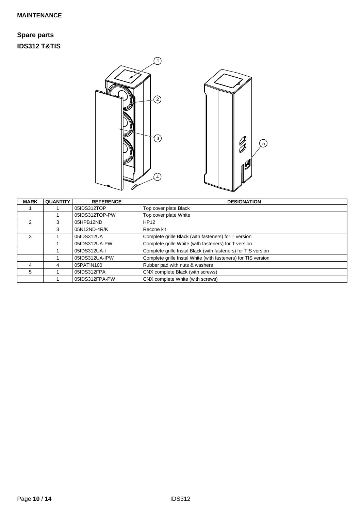# **Spare parts IDS312 T&TIS**



| <b>MARK</b> | <b>QUANTITY</b> | <b>REFERENCE</b> | <b>DESIGNATION</b>                                            |
|-------------|-----------------|------------------|---------------------------------------------------------------|
|             |                 | 05IDS312TOP      | Top cover plate Black                                         |
|             |                 | 05IDS312TOP-PW   | Top cover plate White                                         |
| 2           | 3               | 05HPB12ND        | <b>HP12</b>                                                   |
|             | 3               | 05N12ND-4R/K     | Recone kit                                                    |
| 3           |                 | 05IDS312UA       | Complete grille Black (with fasteners) for T version          |
|             |                 | 05IDS312UA-PW    | Complete grille White (with fasteners) for T version          |
|             |                 | 05IDS312UA-I     | Complete grille Instal Black (with fasteners) for TIS version |
|             |                 | 05IDS312UA-IPW   | Complete grille Instal White (with fasteners) for TIS version |
| 4           | 4               | 05PATIN100       | Rubber pad with nuts & washers                                |
| 5           |                 | 05IDS312FPA      | CNX complete Black (with screws)                              |
|             |                 | 05IDS312FPA-PW   | CNX complete White (with screws)                              |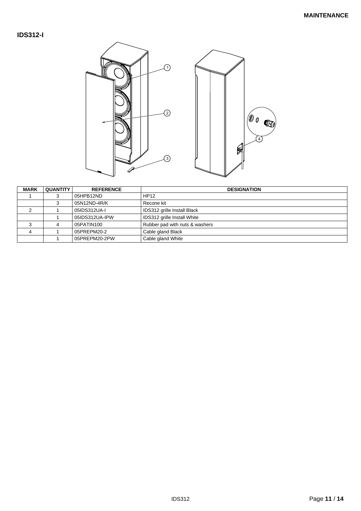## **IDS312-I**



| <b>MARK</b> | <b>QUANTITY</b> | <b>REFERENCE</b> | <b>DESIGNATION</b>             |
|-------------|-----------------|------------------|--------------------------------|
|             |                 | 05HPB12ND        | HP12                           |
|             |                 | 05N12ND-4R/K     | Recone kit                     |
|             |                 | 05IDS312UA-I     | IDS312 grille Install Black    |
|             |                 | 05IDS312UA-IPW   | IDS312 grille Install White    |
| 3           |                 | 05PATIN100       | Rubber pad with nuts & washers |
| 4           |                 | 05PREPM20-2      | Cable gland Black              |
|             |                 | 05PREPM20-2PW    | Cable gland White              |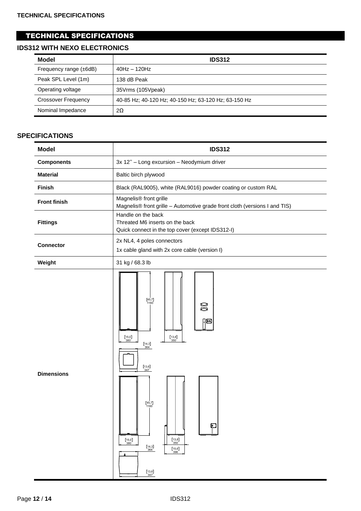# <span id="page-11-0"></span>TECHNICAL SPECIFICATIONS

# **IDS312 WITH NEXO ELECTRONICS**

| Model                       | <b>IDS312</b>                                        |
|-----------------------------|------------------------------------------------------|
| Frequency range $(\pm 6dB)$ | $40Hz - 120Hz$                                       |
| Peak SPL Level (1m)         | 138 dB Peak                                          |
| Operating voltage           | 35Vrms (105Vpeak)                                    |
| Crossover Frequency         | 40-85 Hz; 40-120 Hz; 40-150 Hz; 63-120 Hz; 63-150 Hz |
| Nominal Impedance           | 2Ω                                                   |

## **SPECIFICATIONS**

| <b>Model</b>        | <b>IDS312</b>                                                                                                                                                                                                                                                                                                                           |  |  |
|---------------------|-----------------------------------------------------------------------------------------------------------------------------------------------------------------------------------------------------------------------------------------------------------------------------------------------------------------------------------------|--|--|
| <b>Components</b>   | 3x 12" - Long excursion - Neodymium driver                                                                                                                                                                                                                                                                                              |  |  |
| <b>Material</b>     | Baltic birch plywood                                                                                                                                                                                                                                                                                                                    |  |  |
| Finish              | Black (RAL9005), white (RAL9016) powder coating or custom RAL                                                                                                                                                                                                                                                                           |  |  |
| <b>Front finish</b> | Magnelis <sup>®</sup> front grille<br>Magnelis® front grille - Automotive grade front cloth (versions I and TIS)                                                                                                                                                                                                                        |  |  |
| <b>Fittings</b>     | Handle on the back<br>Threated M6 inserts on the back<br>Quick connect in the top cover (except IDS312-I)                                                                                                                                                                                                                               |  |  |
| <b>Connector</b>    | 2x NL4, 4 poles connectors<br>1x cable gland with 2x core cable (version I)                                                                                                                                                                                                                                                             |  |  |
| Weight              | 31 kg / 68.3 lb                                                                                                                                                                                                                                                                                                                         |  |  |
| <b>Dimensions</b>   | $[45,7]$<br>1160<br>g<br>Ю<br>[15,0]<br>$\begin{bmatrix} 13,8 \\ 350 \end{bmatrix}$<br>380<br>$\left[\begin{smallmatrix} 14,3\\ 364 \end{smallmatrix}\right]$<br>$\begin{bmatrix} 13,6 \\ 347 \end{bmatrix}$<br>$[45,7]$<br>1160<br><b>D</b><br>$[13,8]$<br>[15,0]<br>350<br>380<br>$[14,3]$<br>[15,6]<br>364<br>396<br>$[13,6]$<br>347 |  |  |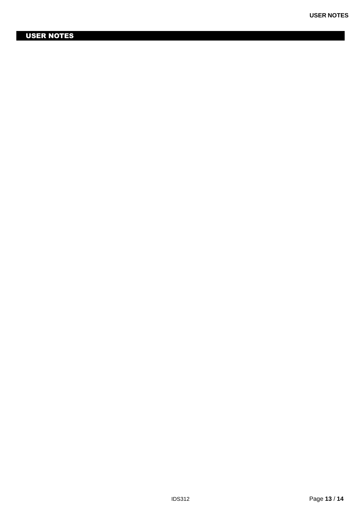# <span id="page-12-0"></span>USER NOTES